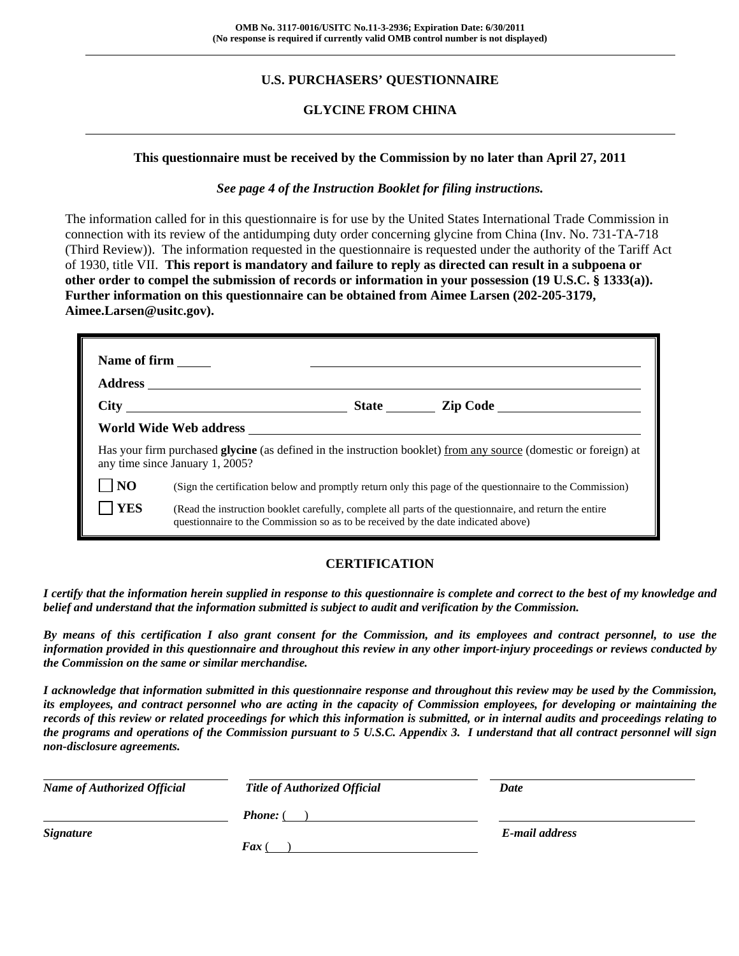# **U.S. PURCHASERS' QUESTIONNAIRE**

## **GLYCINE FROM CHINA**

#### **This questionnaire must be received by the Commission by no later than April 27, 2011**

#### *See page 4 of the Instruction Booklet for filing instructions.*

The information called for in this questionnaire is for use by the United States International Trade Commission in connection with its review of the antidumping duty order concerning glycine from China (Inv. No. 731-TA-718 (Third Review)). The information requested in the questionnaire is requested under the authority of the Tariff Act of 1930, title VII. **This report is mandatory and failure to reply as directed can result in a subpoena or other order to compel the submission of records or information in your possession (19 U.S.C. § 1333(a)). Further information on this questionnaire can be obtained from Aimee Larsen (202-205-3179, Aimee.Larsen@usitc.gov).** 

| Name of firm    |                                                                                   |                                                                                                                  |
|-----------------|-----------------------------------------------------------------------------------|------------------------------------------------------------------------------------------------------------------|
|                 |                                                                                   |                                                                                                                  |
|                 |                                                                                   |                                                                                                                  |
|                 |                                                                                   |                                                                                                                  |
|                 | any time since January 1, 2005?                                                   | Has your firm purchased glycine (as defined in the instruction booklet) from any source (domestic or foreign) at |
| NO <sub>1</sub> |                                                                                   | (Sign the certification below and promptly return only this page of the questionnaire to the Commission)         |
| <b>YES</b>      | questionnaire to the Commission so as to be received by the date indicated above) | (Read the instruction booklet carefully, complete all parts of the questionnaire, and return the entire          |

## **CERTIFICATION**

*I certify that the information herein supplied in response to this questionnaire is complete and correct to the best of my knowledge and belief and understand that the information submitted is subject to audit and verification by the Commission.* 

*By means of this certification I also grant consent for the Commission, and its employees and contract personnel, to use the information provided in this questionnaire and throughout this review in any other import-injury proceedings or reviews conducted by the Commission on the same or similar merchandise.* 

*I acknowledge that information submitted in this questionnaire response and throughout this review may be used by the Commission, its employees, and contract personnel who are acting in the capacity of Commission employees, for developing or maintaining the records of this review or related proceedings for which this information is submitted, or in internal audits and proceedings relating to the programs and operations of the Commission pursuant to 5 U.S.C. Appendix 3. I understand that all contract personnel will sign non-disclosure agreements.* 

| <b>Name of Authorized Official</b> | <b>Title of Authorized Official</b> | Date           |
|------------------------------------|-------------------------------------|----------------|
|                                    | <b>Phone:</b> (                     |                |
| <b>Signature</b>                   |                                     | E-mail address |
|                                    | $\boldsymbol{F}$ ax (               |                |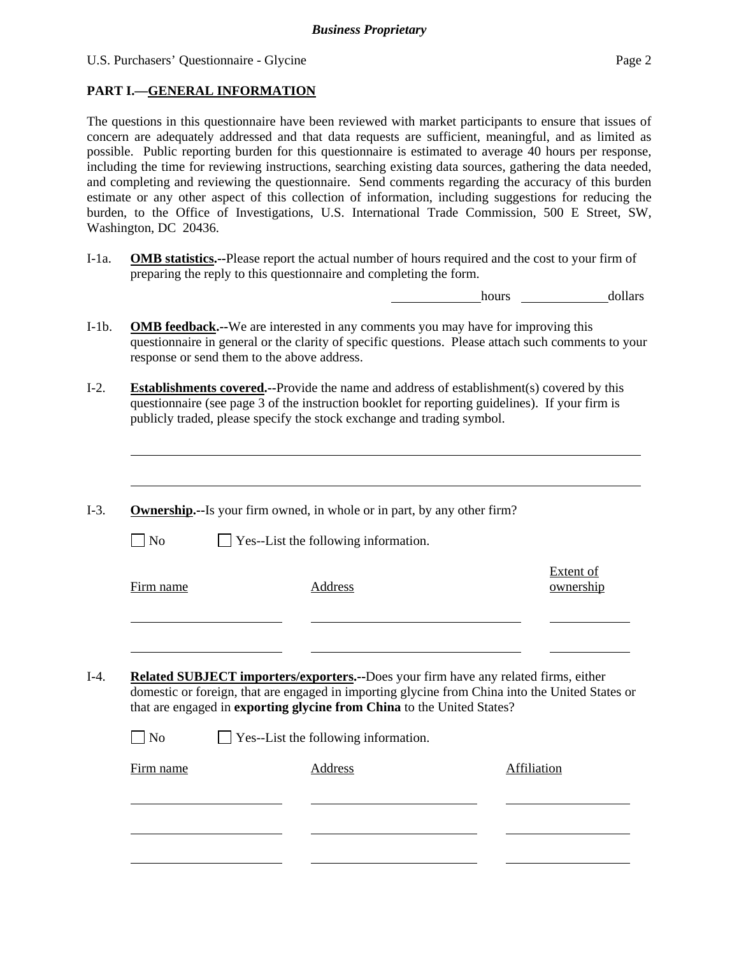## **PART I.—GENERAL INFORMATION**

l

The questions in this questionnaire have been reviewed with market participants to ensure that issues of concern are adequately addressed and that data requests are sufficient, meaningful, and as limited as possible. Public reporting burden for this questionnaire is estimated to average 40 hours per response, including the time for reviewing instructions, searching existing data sources, gathering the data needed, and completing and reviewing the questionnaire. Send comments regarding the accuracy of this burden estimate or any other aspect of this collection of information, including suggestions for reducing the burden, to the Office of Investigations, U.S. International Trade Commission, 500 E Street, SW, Washington, DC 20436.

I-1a. **OMB statistics.--**Please report the actual number of hours required and the cost to your firm of preparing the reply to this questionnaire and completing the form.

hours dollars

- I-1b. **OMB feedback.--**We are interested in any comments you may have for improving this questionnaire in general or the clarity of specific questions. Please attach such comments to your response or send them to the above address.
- I-2. **Establishments covered.--**Provide the name and address of establishment(s) covered by this questionnaire (see page 3 of the instruction booklet for reporting guidelines). If your firm is publicly traded, please specify the stock exchange and trading symbol.
- I-3. **Ownership.--**Is your firm owned, in whole or in part, by any other firm?  $\Box$  No  $\Box$  Yes--List the following information. Firm name Address Extent of ownership l l I-4. **Related SUBJECT importers/exporters.--**Does your firm have any related firms, either domestic or foreign, that are engaged in importing glycine from China into the United States or that are engaged in **exporting glycine from China** to the United States?  $\Box$  No  $\Box$  Yes--List the following information.

| Firm name | Address | Affiliation |
|-----------|---------|-------------|
|           |         |             |
|           |         |             |
|           |         |             |
|           |         |             |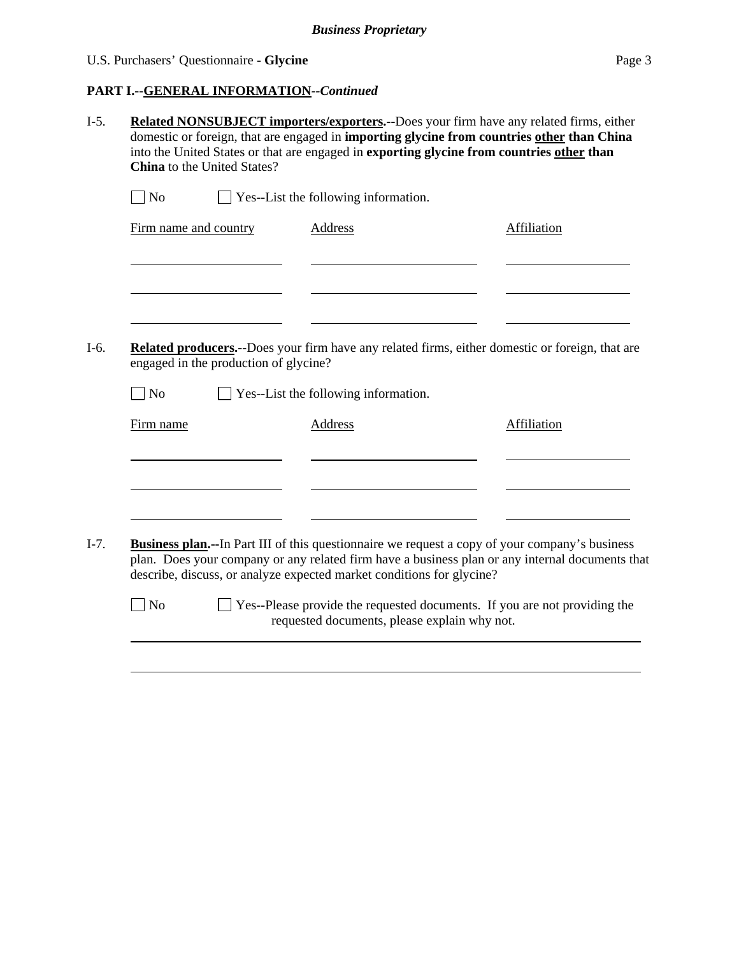# **PART I.--GENERAL INFORMATION***--Continued*

| $\exists$ No                          | $\Box$ Yes--List the following information.                           |                                                                                                                                                                                                           |
|---------------------------------------|-----------------------------------------------------------------------|-----------------------------------------------------------------------------------------------------------------------------------------------------------------------------------------------------------|
| Firm name and country                 | <b>Address</b>                                                        | Affiliation                                                                                                                                                                                               |
|                                       |                                                                       |                                                                                                                                                                                                           |
| engaged in the production of glycine? |                                                                       | <b>Related producers.</b> --Does your firm have any related firms, either domestic or foreign, that are                                                                                                   |
| $\log$                                | Yes--List the following information.                                  |                                                                                                                                                                                                           |
|                                       |                                                                       |                                                                                                                                                                                                           |
| Firm name                             | <b>Address</b>                                                        | Affiliation                                                                                                                                                                                               |
|                                       |                                                                       |                                                                                                                                                                                                           |
|                                       |                                                                       |                                                                                                                                                                                                           |
|                                       |                                                                       |                                                                                                                                                                                                           |
|                                       | describe, discuss, or analyze expected market conditions for glycine? | <b>Business plan.</b> --In Part III of this questionnaire we request a copy of your company's business<br>plan. Does your company or any related firm have a business plan or any internal documents that |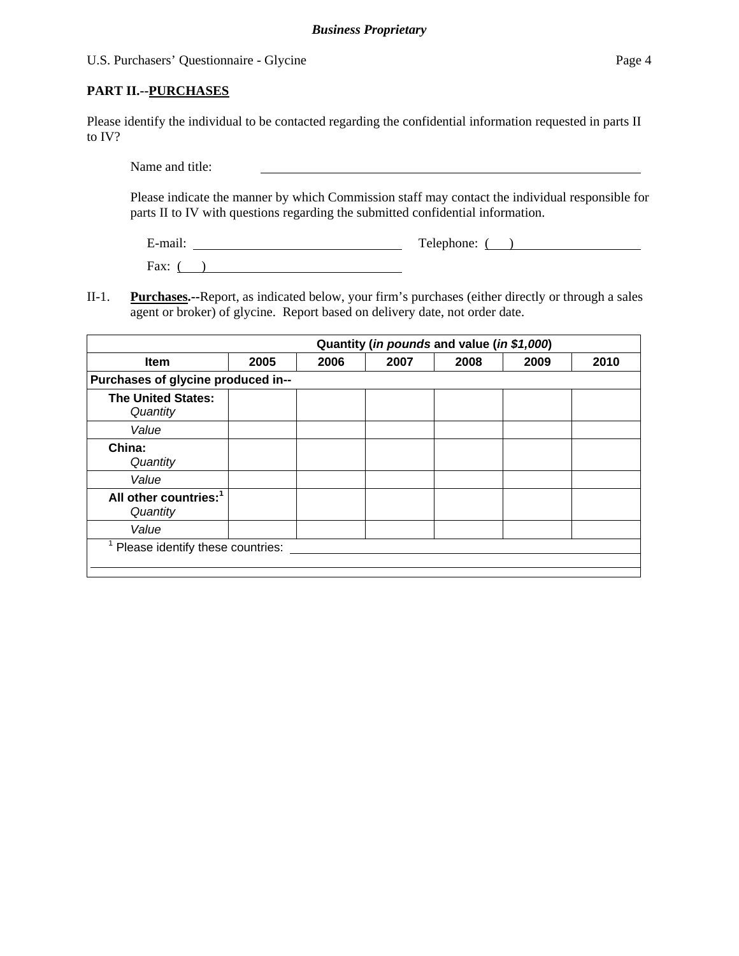Please identify the individual to be contacted regarding the confidential information requested in parts II to IV?

Name and title:

Please indicate the manner by which Commission staff may contact the individual responsible for parts II to IV with questions regarding the submitted confidential information.

E-mail: Telephone: ( )

Fax:  $($ )

II-1. **Purchases.--**Report, as indicated below, your firm's purchases (either directly or through a sales agent or broker) of glycine. Report based on delivery date, not order date.

|                                               |      |      |      | Quantity (in pounds and value (in \$1,000) |      |      |
|-----------------------------------------------|------|------|------|--------------------------------------------|------|------|
| <b>Item</b>                                   | 2005 | 2006 | 2007 | 2008                                       | 2009 | 2010 |
| Purchases of glycine produced in--            |      |      |      |                                            |      |      |
| <b>The United States:</b><br>Quantity         |      |      |      |                                            |      |      |
| Value                                         |      |      |      |                                            |      |      |
| China:<br>Quantity                            |      |      |      |                                            |      |      |
| Value                                         |      |      |      |                                            |      |      |
| All other countries: <sup>1</sup><br>Quantity |      |      |      |                                            |      |      |
| Value                                         |      |      |      |                                            |      |      |
| Please identify these countries:              |      |      |      |                                            |      |      |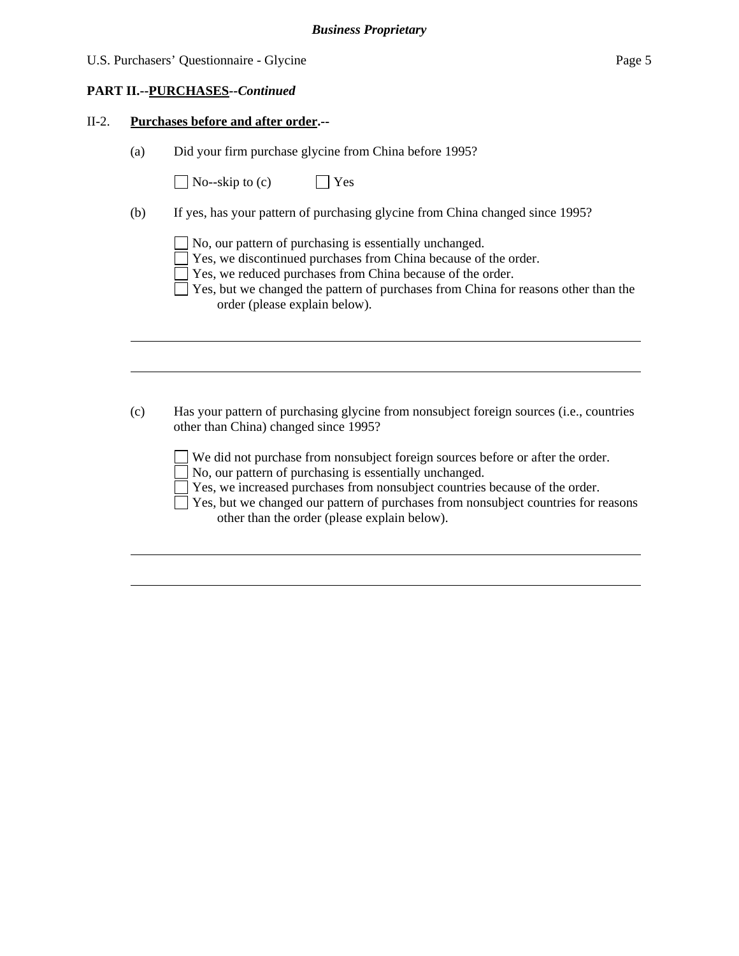#### **PART II.--PURCHASES***--Continued*

 $\overline{a}$ 

l

 $\overline{a}$ 

l

#### II-2. **Purchases before and after order.--**

(a) Did your firm purchase glycine from China before 1995?

| $\Box$ No--skip to (c) | $\Box$ Yes |
|------------------------|------------|
|------------------------|------------|

(b) If yes, has your pattern of purchasing glycine from China changed since 1995?

No, our pattern of purchasing is essentially unchanged.

Yes, we discontinued purchases from China because of the order.

- Yes, we reduced purchases from China because of the order.
- $\Box$  Yes, but we changed the pattern of purchases from China for reasons other than the order (please explain below).
- (c) Has your pattern of purchasing glycine from nonsubject foreign sources (i.e., countries other than China) changed since 1995?

 We did not purchase from nonsubject foreign sources before or after the order. No, our pattern of purchasing is essentially unchanged.

Yes, we increased purchases from nonsubject countries because of the order.

 Yes, but we changed our pattern of purchases from nonsubject countries for reasons other than the order (please explain below).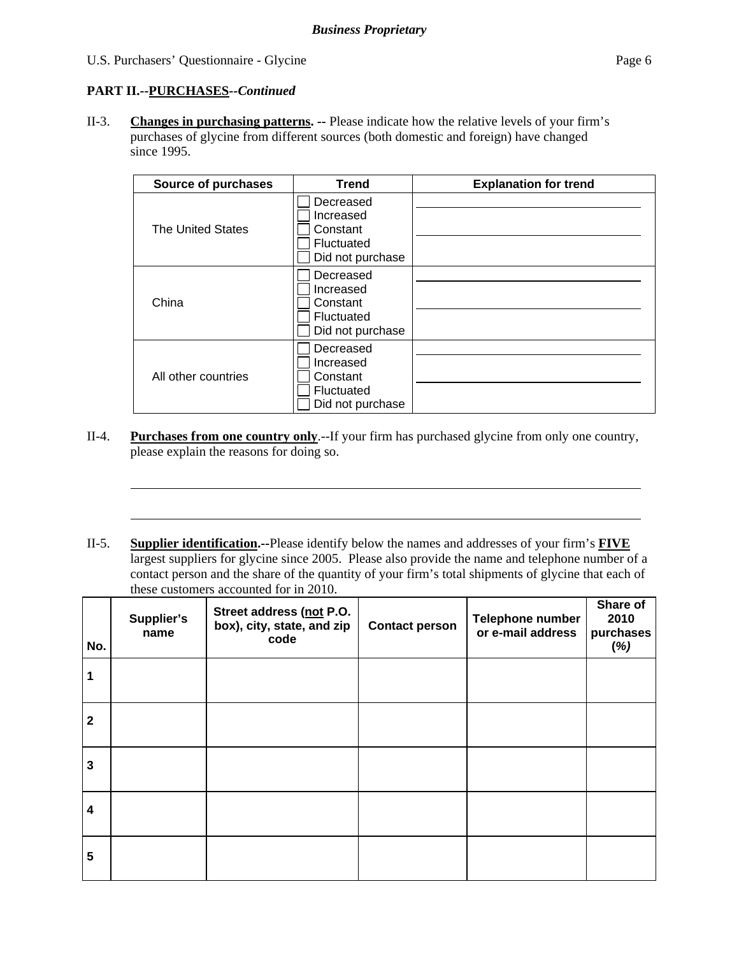### **PART II.--PURCHASES***--Continued*

l

l

II-3. **Changes in purchasing patterns. --** Please indicate how the relative levels of your firm's purchases of glycine from different sources (both domestic and foreign) have changed since 1995.

| <b>Source of purchases</b> | <b>Trend</b>                                                         | <b>Explanation for trend</b> |
|----------------------------|----------------------------------------------------------------------|------------------------------|
| <b>The United States</b>   | Decreased<br>Increased<br>Constant<br>Fluctuated<br>Did not purchase |                              |
| China                      | Decreased<br>Increased<br>Constant<br>Fluctuated<br>Did not purchase |                              |
| All other countries        | Decreased<br>Increased<br>Constant<br>Fluctuated<br>Did not purchase |                              |

- II-4. **Purchases from one country only**.--If your firm has purchased glycine from only one country, please explain the reasons for doing so.
- II-5. **Supplier identification.--**Please identify below the names and addresses of your firm's **FIVE** largest suppliers for glycine since 2005. Please also provide the name and telephone number of a contact person and the share of the quantity of your firm's total shipments of glycine that each of these customers accounted for in 2010.

| No.                     | Supplier's<br>name | Street address (not P.O.<br>box), city, state, and zip<br>code | <b>Contact person</b> | Telephone number<br>or e-mail address | Share of<br>2010<br>purchases<br>(%) |
|-------------------------|--------------------|----------------------------------------------------------------|-----------------------|---------------------------------------|--------------------------------------|
|                         |                    |                                                                |                       |                                       |                                      |
| $\mathbf{2}$            |                    |                                                                |                       |                                       |                                      |
| $\mathbf{3}$            |                    |                                                                |                       |                                       |                                      |
| $\overline{\mathbf{4}}$ |                    |                                                                |                       |                                       |                                      |
| 5                       |                    |                                                                |                       |                                       |                                      |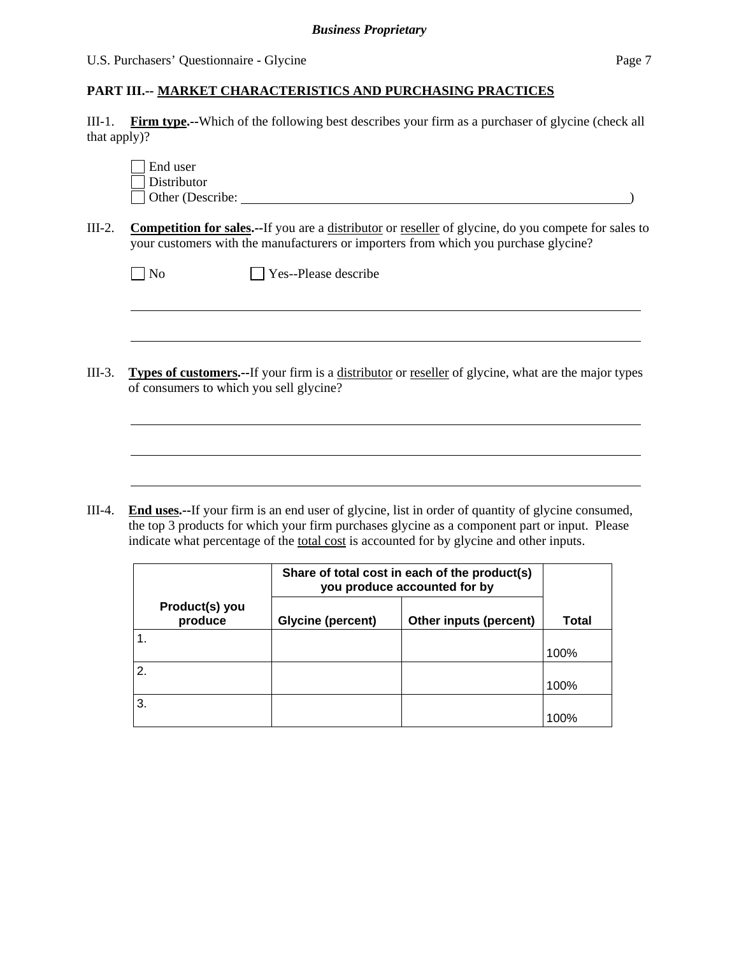$\overline{a}$ 

 $\overline{a}$ 

### **PART III.-- MARKET CHARACTERISTICS AND PURCHASING PRACTICES**

III-1. **Firm type.--**Which of the following best describes your firm as a purchaser of glycine (check all that apply)?

| End user         |  |  |
|------------------|--|--|
| Distributor      |  |  |
| Other (Describe: |  |  |

III-2. **Competition for sales.--**If you are a distributor or reseller of glycine, do you compete for sales to your customers with the manufacturers or importers from which you purchase glycine?

| $\Box$ No | $\Box$ Yes--Please describe |
|-----------|-----------------------------|
|           |                             |

III-3. **Types of customers.--**If your firm is a distributor or reseller of glycine, what are the major types of consumers to which you sell glycine?

III-4. **End uses.--**If your firm is an end user of glycine, list in order of quantity of glycine consumed, the top 3 products for which your firm purchases glycine as a component part or input. Please indicate what percentage of the total cost is accounted for by glycine and other inputs.

|                  |                           | Share of total cost in each of the product(s)<br>you produce accounted for by |                        |       |
|------------------|---------------------------|-------------------------------------------------------------------------------|------------------------|-------|
|                  | Product(s) you<br>produce | <b>Glycine (percent)</b>                                                      | Other inputs (percent) | Total |
|                  |                           |                                                                               |                        | 100%  |
| <sup>2.</sup>    |                           |                                                                               |                        | 100%  |
| $\overline{3}$ . |                           |                                                                               |                        | 100%  |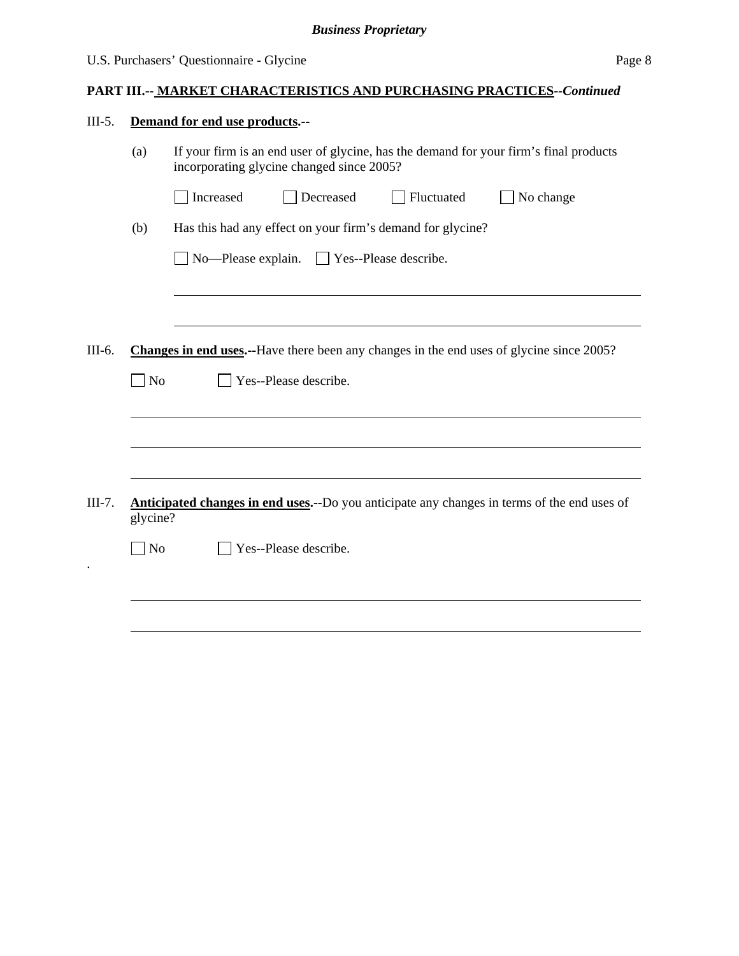# U.S. Purchasers' Questionnaire - Glycine Page 8

# **PART III.-- MARKET CHARACTERISTICS AND PURCHASING PRACTICES***--Continued*

| $III-5.$ | Demand for end use products.--                                                                          |                                                                                                                                    |  |
|----------|---------------------------------------------------------------------------------------------------------|------------------------------------------------------------------------------------------------------------------------------------|--|
|          | (a)                                                                                                     | If your firm is an end user of glycine, has the demand for your firm's final products<br>incorporating glycine changed since 2005? |  |
|          |                                                                                                         | Fluctuated<br>No change<br>Increased<br>Decreased                                                                                  |  |
|          | (b)                                                                                                     | Has this had any effect on your firm's demand for glycine?                                                                         |  |
|          |                                                                                                         | No-Please explain. Yes--Please describe.                                                                                           |  |
|          |                                                                                                         |                                                                                                                                    |  |
|          |                                                                                                         |                                                                                                                                    |  |
| III-6.   |                                                                                                         | <b>Changes in end uses.</b> --Have there been any changes in the end uses of glycine since 2005?                                   |  |
|          | $\log$                                                                                                  | Yes--Please describe.                                                                                                              |  |
|          |                                                                                                         |                                                                                                                                    |  |
|          |                                                                                                         |                                                                                                                                    |  |
|          |                                                                                                         |                                                                                                                                    |  |
| III-7.   | Anticipated changes in end uses.--Do you anticipate any changes in terms of the end uses of<br>glycine? |                                                                                                                                    |  |
|          | N <sub>o</sub>                                                                                          | Yes--Please describe.                                                                                                              |  |
|          |                                                                                                         |                                                                                                                                    |  |
|          |                                                                                                         |                                                                                                                                    |  |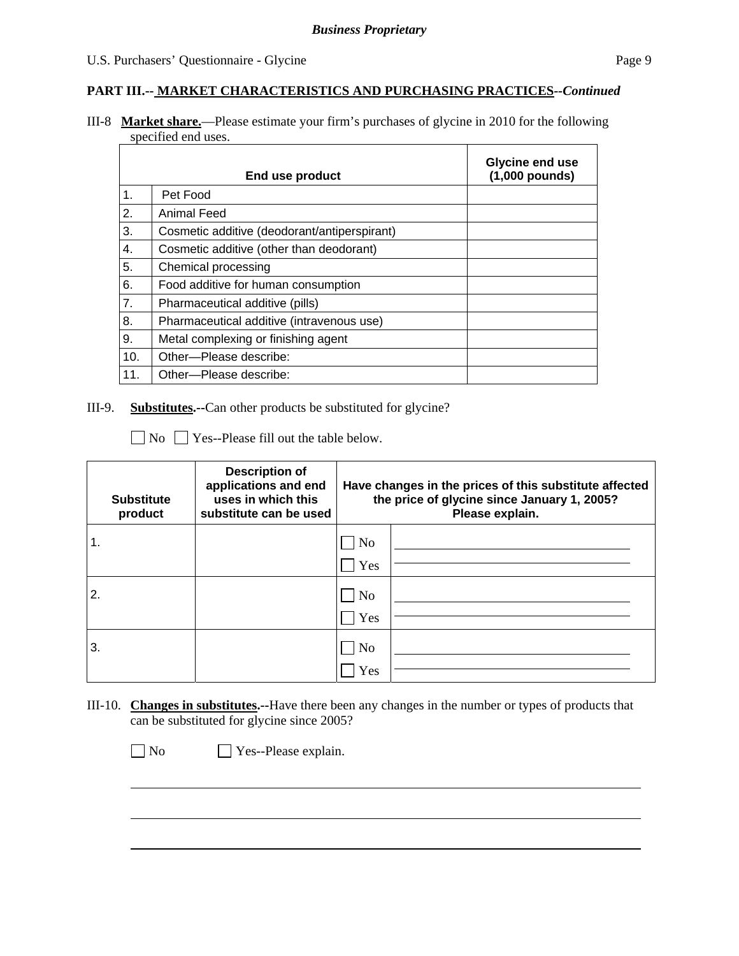#### **PART III.-- MARKET CHARACTERISTICS AND PURCHASING PRACTICES***--Continued*

III-8 **Market share.**—Please estimate your firm's purchases of glycine in 2010 for the following specified end uses.

|                  | End use product                              | Glycine end use<br>$(1,000$ pounds) |
|------------------|----------------------------------------------|-------------------------------------|
| 1.               | Pet Food                                     |                                     |
| $\overline{2}$ . | <b>Animal Feed</b>                           |                                     |
| 3.               | Cosmetic additive (deodorant/antiperspirant) |                                     |
| 4.               | Cosmetic additive (other than deodorant)     |                                     |
| 5.               | Chemical processing                          |                                     |
| 6.               | Food additive for human consumption          |                                     |
| 7.               | Pharmaceutical additive (pills)              |                                     |
| 8.               | Pharmaceutical additive (intravenous use)    |                                     |
| 9.               | Metal complexing or finishing agent          |                                     |
| 10.              | Other-Please describe:                       |                                     |
| 11.              | Other---Please describe:                     |                                     |

III-9. **Substitutes.--**Can other products be substituted for glycine?

No  $\Box$  Yes--Please fill out the table below.

| <b>Substitute</b><br>product | <b>Description of</b><br>applications and end<br>uses in which this<br>substitute can be used | Have changes in the prices of this substitute affected<br>the price of glycine since January 1, 2005?<br>Please explain. |  |
|------------------------------|-----------------------------------------------------------------------------------------------|--------------------------------------------------------------------------------------------------------------------------|--|
|                              |                                                                                               | N <sub>o</sub>                                                                                                           |  |
|                              |                                                                                               | Yes                                                                                                                      |  |
| 2.                           |                                                                                               | N <sub>o</sub>                                                                                                           |  |
|                              |                                                                                               | Yes                                                                                                                      |  |
| 3.                           |                                                                                               | <b>No</b>                                                                                                                |  |
|                              |                                                                                               | Yes                                                                                                                      |  |

III-10. **Changes in substitutes.--**Have there been any changes in the number or types of products that can be substituted for glycine since 2005?

No Yes--Please explain.

 $\overline{a}$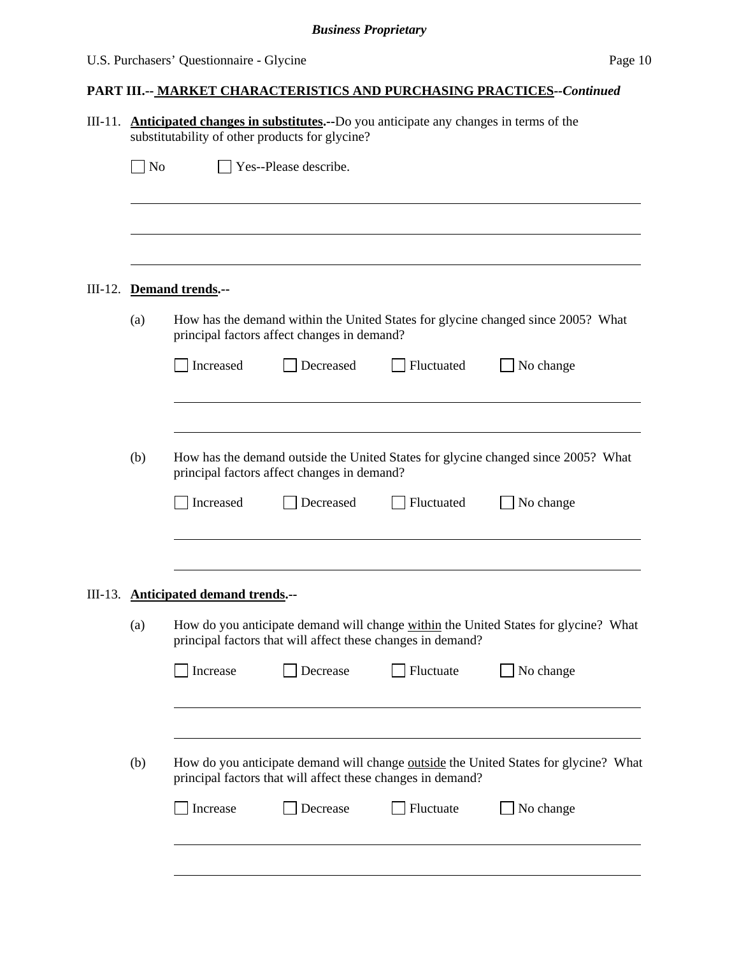# **PART III.-- MARKET CHARACTERISTICS AND PURCHASING PRACTICES***--Continued*

|         |                                                                                                    | III-11. <b>Anticipated changes in substitutes.</b> --Do you anticipate any changes in terms of the<br>substitutability of other products for glycine?<br>Yes--Please describe. |                                             |                                                                          |                                                                                     |  |
|---------|----------------------------------------------------------------------------------------------------|--------------------------------------------------------------------------------------------------------------------------------------------------------------------------------|---------------------------------------------|--------------------------------------------------------------------------|-------------------------------------------------------------------------------------|--|
|         |                                                                                                    |                                                                                                                                                                                |                                             |                                                                          |                                                                                     |  |
|         | $\Box$ No                                                                                          |                                                                                                                                                                                |                                             |                                                                          |                                                                                     |  |
|         |                                                                                                    |                                                                                                                                                                                |                                             |                                                                          |                                                                                     |  |
| III-12. |                                                                                                    | Demand trends.--                                                                                                                                                               |                                             |                                                                          |                                                                                     |  |
|         | (a)                                                                                                | How has the demand within the United States for glycine changed since 2005? What<br>principal factors affect changes in demand?                                                |                                             |                                                                          |                                                                                     |  |
|         |                                                                                                    | Increased                                                                                                                                                                      | Decreased                                   | Fluctuated                                                               | No change                                                                           |  |
|         | (b)                                                                                                |                                                                                                                                                                                | principal factors affect changes in demand? |                                                                          | How has the demand outside the United States for glycine changed since 2005? What   |  |
|         |                                                                                                    | Increased                                                                                                                                                                      | Decreased                                   | Fluctuated                                                               | No change                                                                           |  |
|         |                                                                                                    | III-13. Anticipated demand trends.--                                                                                                                                           |                                             |                                                                          |                                                                                     |  |
|         | (a)                                                                                                |                                                                                                                                                                                |                                             | principal factors that will affect these changes in demand?              | How do you anticipate demand will change within the United States for glycine? What |  |
|         |                                                                                                    | Increase                                                                                                                                                                       | Decrease                                    | Fluctuate                                                                | No change                                                                           |  |
|         | (b)<br>How do you anticipate demand will change <u>outside</u> the United States for glycine? What |                                                                                                                                                                                |                                             |                                                                          |                                                                                     |  |
|         |                                                                                                    | Increase                                                                                                                                                                       | Decrease                                    | principal factors that will affect these changes in demand?<br>Fluctuate | No change                                                                           |  |
|         |                                                                                                    |                                                                                                                                                                                |                                             |                                                                          |                                                                                     |  |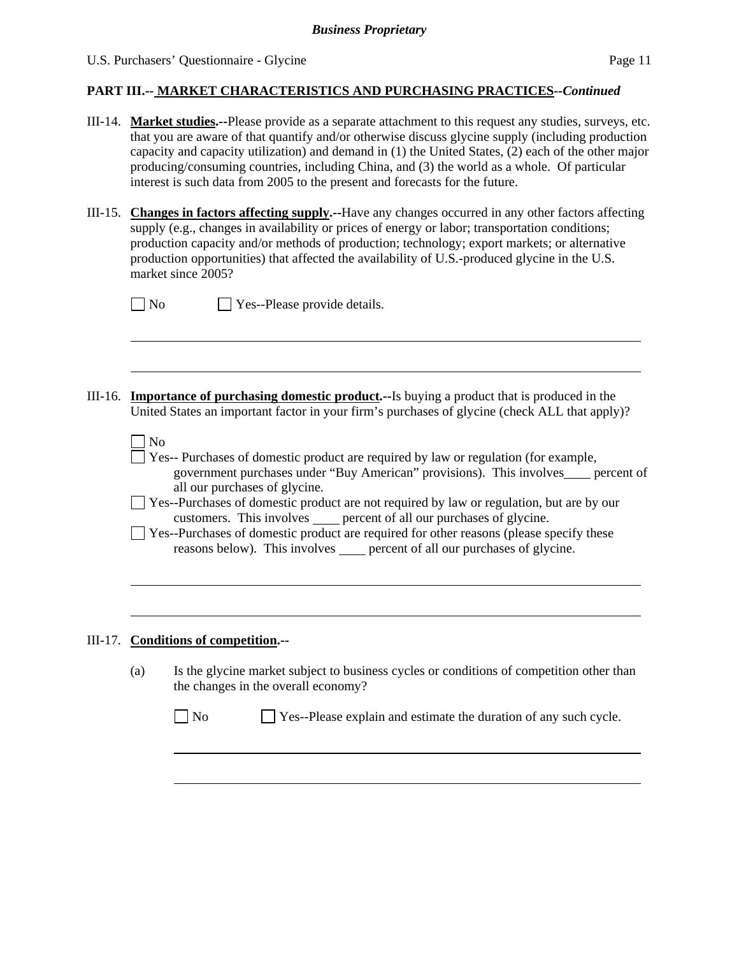$\overline{a}$ 

#### **PART III.-- MARKET CHARACTERISTICS AND PURCHASING PRACTICES***--Continued*

- III-14. **Market studies.--**Please provide as a separate attachment to this request any studies, surveys, etc. that you are aware of that quantify and/or otherwise discuss glycine supply (including production capacity and capacity utilization) and demand in (1) the United States, (2) each of the other major producing/consuming countries, including China, and (3) the world as a whole. Of particular interest is such data from 2005 to the present and forecasts for the future.
- III-15. **Changes in factors affecting supply.--**Have any changes occurred in any other factors affecting supply (e.g., changes in availability or prices of energy or labor; transportation conditions; production capacity and/or methods of production; technology; export markets; or alternative production opportunities) that affected the availability of U.S.-produced glycine in the U.S.

|         | market since 2005?                                                                                                                                                                                                            |
|---------|-------------------------------------------------------------------------------------------------------------------------------------------------------------------------------------------------------------------------------|
|         | Yes--Please provide details.<br>N <sub>0</sub>                                                                                                                                                                                |
|         |                                                                                                                                                                                                                               |
|         |                                                                                                                                                                                                                               |
| III-16. | <b>Importance of purchasing domestic product.</b> --Is buying a product that is produced in the<br>United States an important factor in your firm's purchases of glycine (check ALL that apply)?                              |
|         | N <sub>o</sub><br>Yes-- Purchases of domestic product are required by law or regulation (for example,<br>government purchases under "Buy American" provisions). This involves____ percent of<br>all our purchases of glycine. |
|         | Yes--Purchases of domestic product are not required by law or regulation, but are by our<br>customers. This involves _____ percent of all our purchases of glycine.                                                           |
|         | Yes--Purchases of domestic product are required for other reasons (please specify these<br>reasons below). This involves _____ percent of all our purchases of glycine.                                                       |
|         |                                                                                                                                                                                                                               |
|         |                                                                                                                                                                                                                               |
|         | III-17. Conditions of competition.--                                                                                                                                                                                          |
|         | Is the glycine market subject to business cycles or conditions of competition other than<br>(a)<br>the changes in the overall economy?                                                                                        |

No Ses--Please explain and estimate the duration of any such cycle.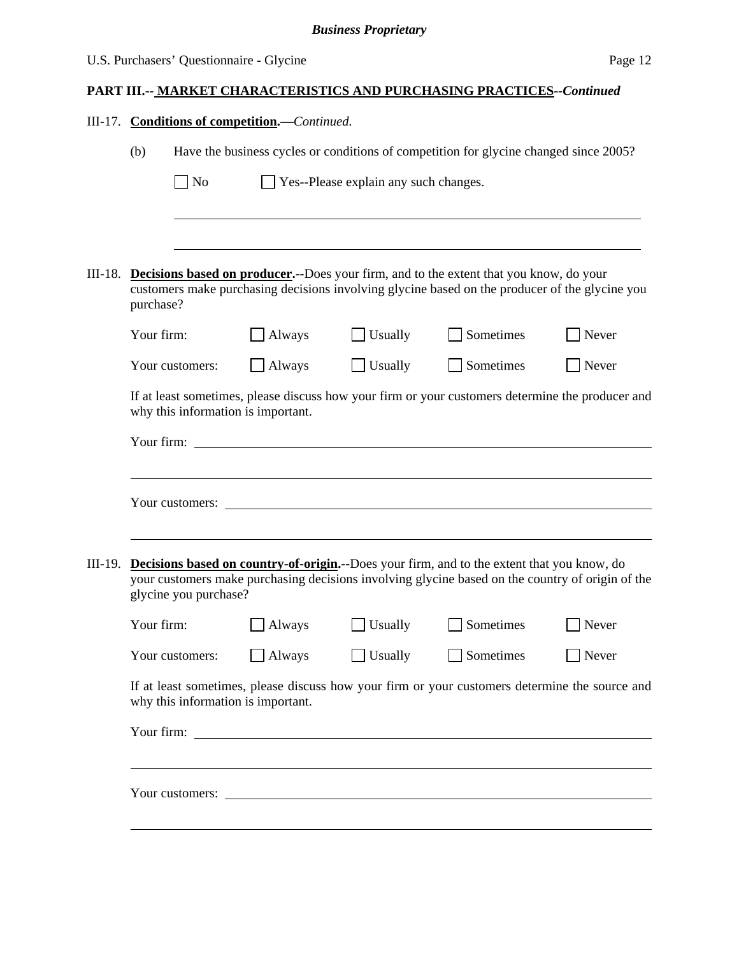# **PART III.-- MARKET CHARACTERISTICS AND PURCHASING PRACTICES***--Continued* III-17. **Conditions of competition.—***Continued.*  (b) Have the business cycles or conditions of competition for glycine changed since 2005?  $\Box$  No  $\Box$  Yes--Please explain any such changes.  $\overline{a}$ III-18. **Decisions based on producer.--**Does your firm, and to the extent that you know, do your customers make purchasing decisions involving glycine based on the producer of the glycine you purchase? Your firm:  $\Box$  Always  $\Box$  Usually  $\Box$  Sometimes  $\Box$  Never Your customers: Always Usually Sometimes Never If at least sometimes, please discuss how your firm or your customers determine the producer and why this information is important. Your firm:  $\blacksquare$ Your customers: III-19. **Decisions based on country-of-origin.--**Does your firm, and to the extent that you know, do your customers make purchasing decisions involving glycine based on the country of origin of the glycine you purchase? Your firm:  $\Box$  Always  $\Box$  Usually  $\Box$  Sometimes  $\Box$  Never Your customers:  $\Box$  Always  $\Box$  Usually  $\Box$  Sometimes  $\Box$  Never If at least sometimes, please discuss how your firm or your customers determine the source and why this information is important. Your firm: Your customers:  $\Box$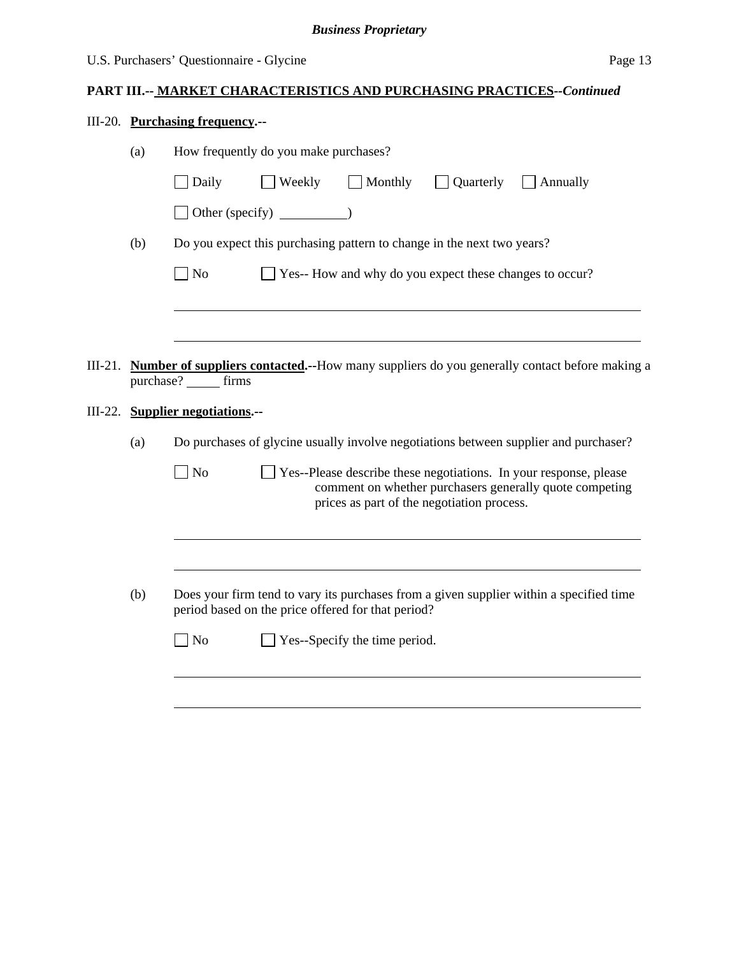# **PART III.-- MARKET CHARACTERISTICS AND PURCHASING PRACTICES***--Continued*

# III-20. **Purchasing frequency.--**

|                                                           | (a) | How frequently do you make purchases?                                                                                                                                            |  |  |  |  |  |
|-----------------------------------------------------------|-----|----------------------------------------------------------------------------------------------------------------------------------------------------------------------------------|--|--|--|--|--|
|                                                           |     | Weekly<br>$\Box$ Monthly<br>Quarterly<br>Daily<br><b>Annually</b>                                                                                                                |  |  |  |  |  |
|                                                           |     |                                                                                                                                                                                  |  |  |  |  |  |
|                                                           | (b) | Do you expect this purchasing pattern to change in the next two years?                                                                                                           |  |  |  |  |  |
|                                                           |     | Yes-- How and why do you expect these changes to occur?<br>No                                                                                                                    |  |  |  |  |  |
|                                                           |     |                                                                                                                                                                                  |  |  |  |  |  |
|                                                           |     |                                                                                                                                                                                  |  |  |  |  |  |
| III-21.                                                   |     | <b>Number of suppliers contacted.</b> --How many suppliers do you generally contact before making a<br>purchase? _______ firms                                                   |  |  |  |  |  |
| III-22.                                                   |     | <b>Supplier negotiations.--</b>                                                                                                                                                  |  |  |  |  |  |
|                                                           | (a) | Do purchases of glycine usually involve negotiations between supplier and purchaser?                                                                                             |  |  |  |  |  |
|                                                           |     | No<br>Yes--Please describe these negotiations. In your response, please<br>comment on whether purchasers generally quote competing<br>prices as part of the negotiation process. |  |  |  |  |  |
|                                                           |     |                                                                                                                                                                                  |  |  |  |  |  |
| (b)<br>period based on the price offered for that period? |     | Does your firm tend to vary its purchases from a given supplier within a specified time                                                                                          |  |  |  |  |  |
|                                                           |     | No<br>Yes--Specify the time period.                                                                                                                                              |  |  |  |  |  |
|                                                           |     |                                                                                                                                                                                  |  |  |  |  |  |
|                                                           |     |                                                                                                                                                                                  |  |  |  |  |  |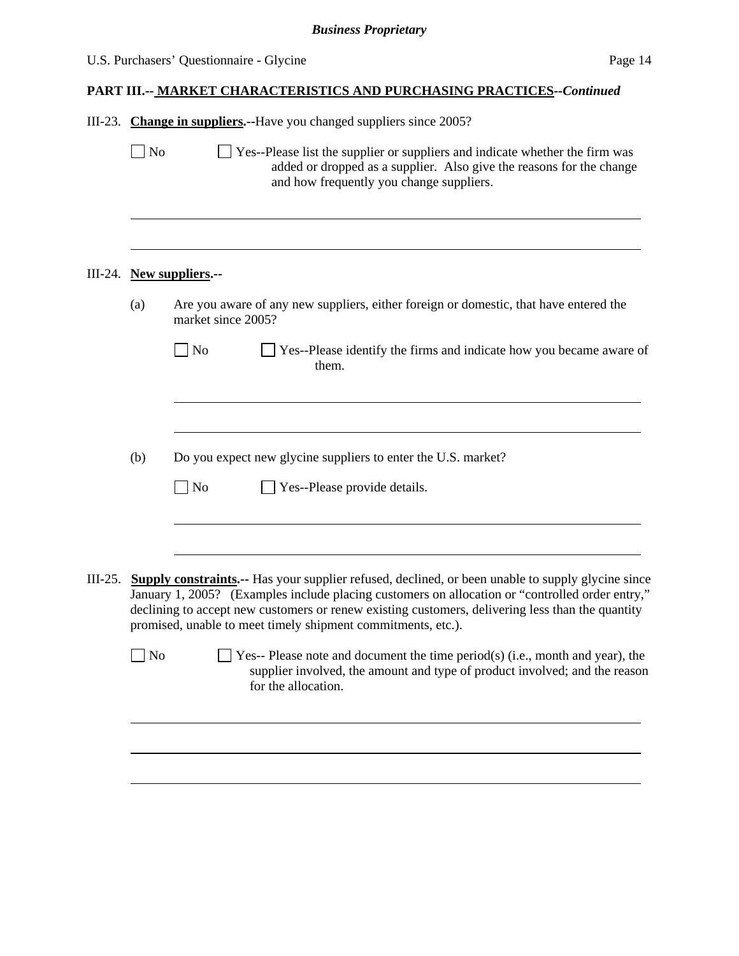|  | U.S. Purchasers' Questionnaire - Glycine<br>Page 14 |                                                                                                                                                                                                                                                                                                                                                                                  |  |  |
|--|-----------------------------------------------------|----------------------------------------------------------------------------------------------------------------------------------------------------------------------------------------------------------------------------------------------------------------------------------------------------------------------------------------------------------------------------------|--|--|
|  |                                                     | <b>PART III.-- MARKET CHARACTERISTICS AND PURCHASING PRACTICES--Continued</b>                                                                                                                                                                                                                                                                                                    |  |  |
|  |                                                     | III-23. Change in suppliers.--Have you changed suppliers since 2005?                                                                                                                                                                                                                                                                                                             |  |  |
|  | $\Box$ No                                           | Yes--Please list the supplier or suppliers and indicate whether the firm was<br>added or dropped as a supplier. Also give the reasons for the change<br>and how frequently you change suppliers.                                                                                                                                                                                 |  |  |
|  |                                                     | III-24. New suppliers.--                                                                                                                                                                                                                                                                                                                                                         |  |  |
|  | (a)                                                 | Are you aware of any new suppliers, either foreign or domestic, that have entered the<br>market since 2005?                                                                                                                                                                                                                                                                      |  |  |
|  |                                                     | $\overline{\phantom{1}}$ No<br>Yes--Please identify the firms and indicate how you became aware of<br>them.                                                                                                                                                                                                                                                                      |  |  |
|  | (b)                                                 | Do you expect new glycine suppliers to enter the U.S. market?<br>$\Box$ No<br>Yes--Please provide details.                                                                                                                                                                                                                                                                       |  |  |
|  |                                                     |                                                                                                                                                                                                                                                                                                                                                                                  |  |  |
|  |                                                     | III-25. Supply constraints.-- Has your supplier refused, declined, or been unable to supply glycine since<br>January 1, 2005? (Examples include placing customers on allocation or "controlled order entry,"<br>declining to accept new customers or renew existing customers, delivering less than the quantity<br>promised, unable to meet timely shipment commitments, etc.). |  |  |
|  | $\Box$ No                                           | Yes-- Please note and document the time period(s) (i.e., month and year), the<br>supplier involved, the amount and type of product involved; and the reason                                                                                                                                                                                                                      |  |  |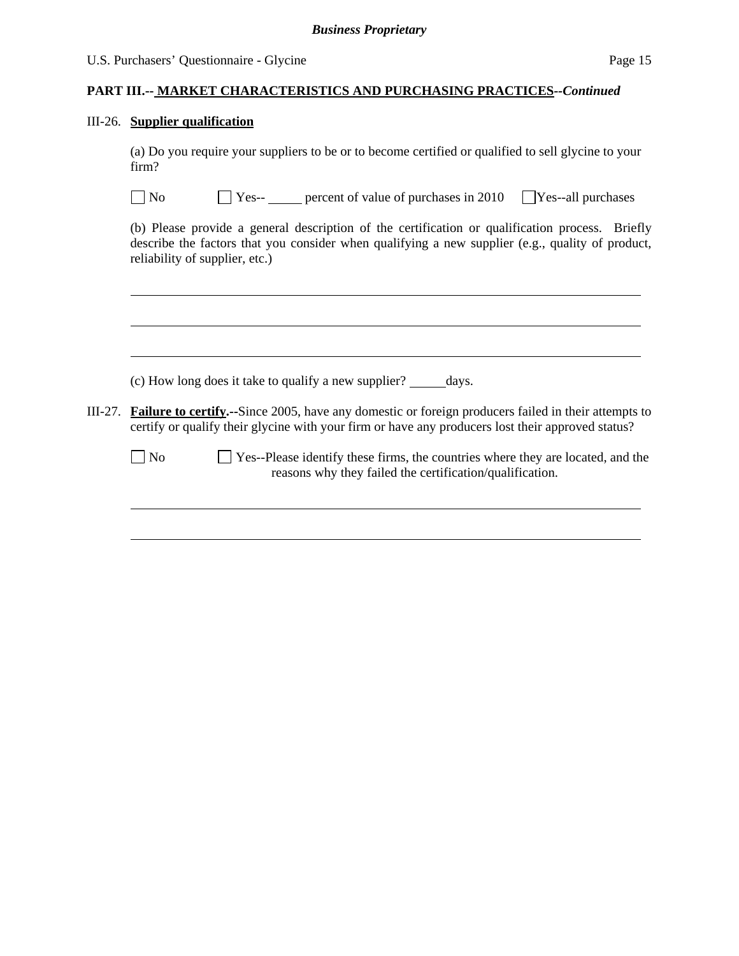#### **PART III.-- MARKET CHARACTERISTICS AND PURCHASING PRACTICES***--Continued*

#### III-26. **Supplier qualification**

(a) Do you require your suppliers to be or to become certified or qualified to sell glycine to your firm?

| $\Box$ No<br>$\Box$ Yes-- | percent of value of purchases in $2010$ $\sqrt{\text{Yes}-\text{all}}$ purchases |  |
|---------------------------|----------------------------------------------------------------------------------|--|
|---------------------------|----------------------------------------------------------------------------------|--|

(b) Please provide a general description of the certification or qualification process. Briefly describe the factors that you consider when qualifying a new supplier (e.g., quality of product, reliability of supplier, etc.)

|         | (c) How long does it take to qualify a new supplier? days.                                                                                                                                                      |
|---------|-----------------------------------------------------------------------------------------------------------------------------------------------------------------------------------------------------------------|
| III-27. | <b>Failure to certify.</b> -Since 2005, have any domestic or foreign producers failed in their attempts to<br>certify or qualify their glycine with your firm or have any producers lost their approved status? |
|         | $\Box$ Yes--Please identify these firms, the countries where they are located, and the<br>N <sub>o</sub><br>reasons why they failed the certification/qualification.                                            |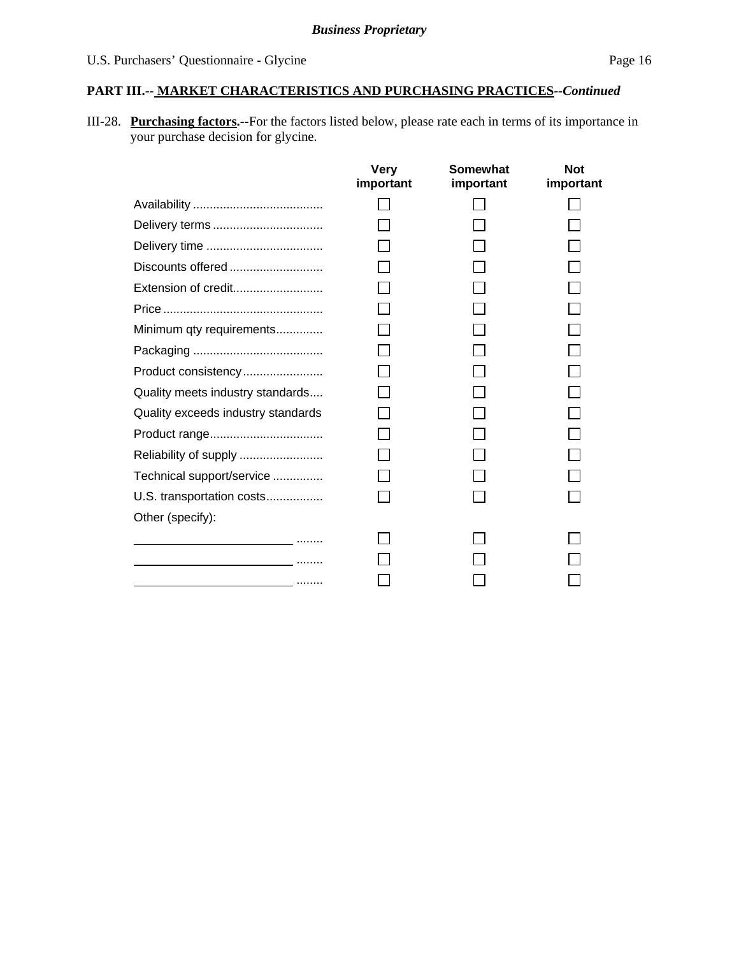# **PART III.-- MARKET CHARACTERISTICS AND PURCHASING PRACTICES***--Continued*

III-28. **Purchasing factors.--**For the factors listed below, please rate each in terms of its importance in your purchase decision for glycine.

|                                                                                                                      | <b>Very</b><br>important | Somewhat<br>important | <b>Not</b><br>important |
|----------------------------------------------------------------------------------------------------------------------|--------------------------|-----------------------|-------------------------|
|                                                                                                                      |                          |                       |                         |
| Delivery terms                                                                                                       |                          |                       |                         |
|                                                                                                                      |                          |                       |                         |
| Discounts offered                                                                                                    |                          |                       |                         |
| Extension of credit                                                                                                  |                          |                       |                         |
|                                                                                                                      |                          |                       |                         |
| Minimum qty requirements                                                                                             |                          |                       |                         |
|                                                                                                                      |                          |                       |                         |
| Product consistency                                                                                                  |                          |                       |                         |
| Quality meets industry standards                                                                                     |                          |                       |                         |
| Quality exceeds industry standards                                                                                   |                          |                       |                         |
| Product range                                                                                                        |                          |                       |                         |
| Reliability of supply                                                                                                |                          |                       |                         |
| Technical support/service                                                                                            |                          |                       |                         |
| U.S. transportation costs                                                                                            |                          |                       |                         |
| Other (specify):                                                                                                     |                          |                       |                         |
| the company of the company of the company of the company of the company of the company of the company of the company |                          |                       |                         |
| the contract of the contract of the contract of the contract of the contract of                                      |                          |                       |                         |
| and the contract of the contract of the contract of the contract of the contract of the contract of the contract of  |                          |                       |                         |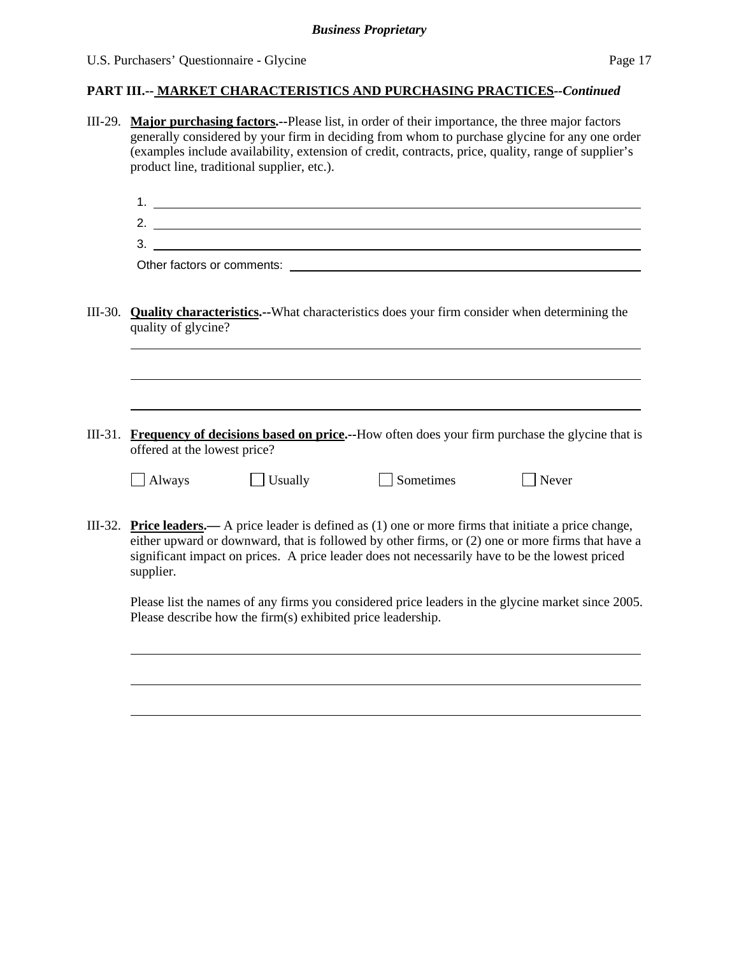#### **PART III.-- MARKET CHARACTERISTICS AND PURCHASING PRACTICES***--Continued*

- III-29. **Major purchasing factors.--**Please list, in order of their importance, the three major factors generally considered by your firm in deciding from whom to purchase glycine for any one order (examples include availability, extension of credit, contracts, price, quality, range of supplier's product line, traditional supplier, etc.).
	- 1. 2.
	- 3.

Other factors or comments:

- III-30. **Quality characteristics.--**What characteristics does your firm consider when determining the quality of glycine?
- III-31. **Frequency of decisions based on price.--**How often does your firm purchase the glycine that is offered at the lowest price?

|  | ٬<br>AIWAV |
|--|------------|
|--|------------|

l

l

| $\Box$ Always | $\Box$ Usually | $\Box$ Sometimes | $\Box$ Never |
|---------------|----------------|------------------|--------------|
|---------------|----------------|------------------|--------------|

<u> 1980 - Johann Barn, fransk politik (d. 1980)</u>

III-32. **Price leaders.—** A price leader is defined as (1) one or more firms that initiate a price change, either upward or downward, that is followed by other firms, or (2) one or more firms that have a significant impact on prices. A price leader does not necessarily have to be the lowest priced supplier.

Please list the names of any firms you considered price leaders in the glycine market since 2005. Please describe how the firm(s) exhibited price leadership.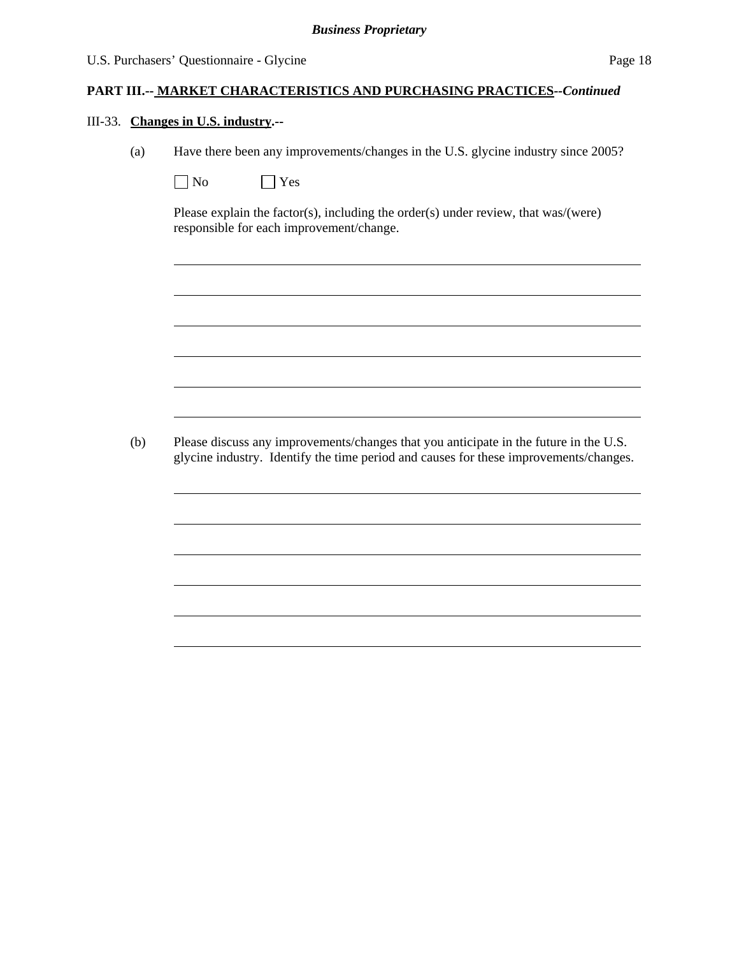#### **PART III.-- MARKET CHARACTERISTICS AND PURCHASING PRACTICES***--Continued*

#### III-33. **Changes in U.S. industry.--**

 $\overline{a}$ 

l

(a) Have there been any improvements/changes in the U.S. glycine industry since 2005?

| N٥ | ΈS |
|----|----|
|----|----|

 Please explain the factor(s), including the order(s) under review, that was/(were) responsible for each improvement/change.

(b) Please discuss any improvements/changes that you anticipate in the future in the U.S. glycine industry. Identify the time period and causes for these improvements/changes.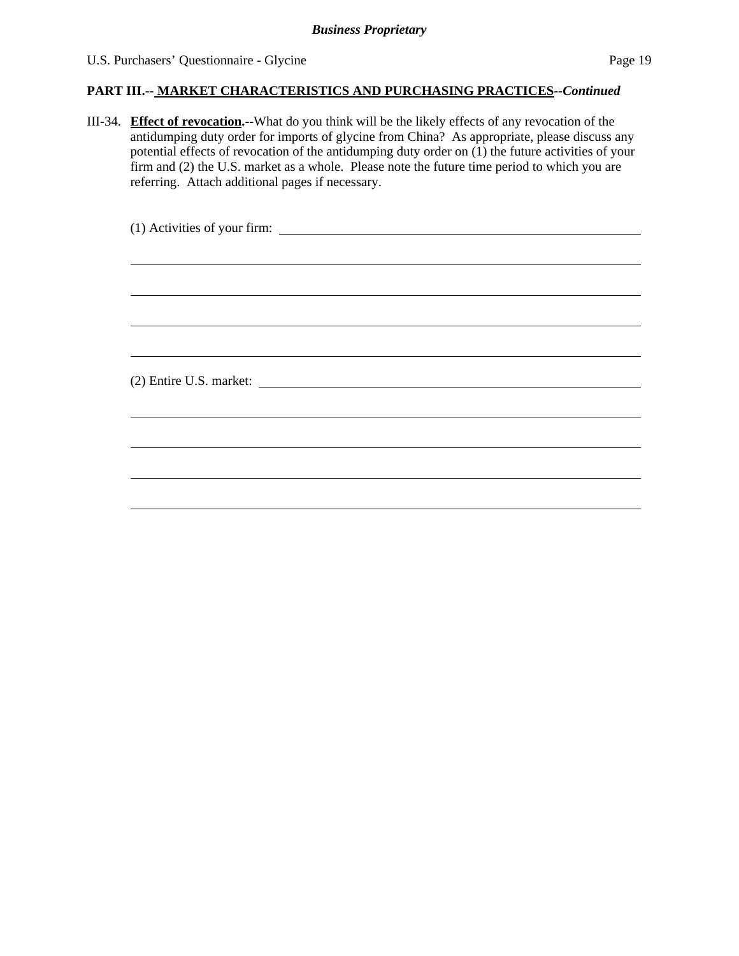#### **PART III.-- MARKET CHARACTERISTICS AND PURCHASING PRACTICES***--Continued*

III-34. **Effect of revocation.--**What do you think will be the likely effects of any revocation of the antidumping duty order for imports of glycine from China? As appropriate, please discuss any potential effects of revocation of the antidumping duty order on (1) the future activities of your firm and (2) the U.S. market as a whole. Please note the future time period to which you are referring. Attach additional pages if necessary.

| ,我们也不会有什么?""我们的人,我们也不会不会不会。""我们的人,我们也不会不会不会不会。""我们的人,我们也不会不会不会不会。""我们的人,我们也不会不会不 |
|----------------------------------------------------------------------------------|
|                                                                                  |
|                                                                                  |
|                                                                                  |
|                                                                                  |
|                                                                                  |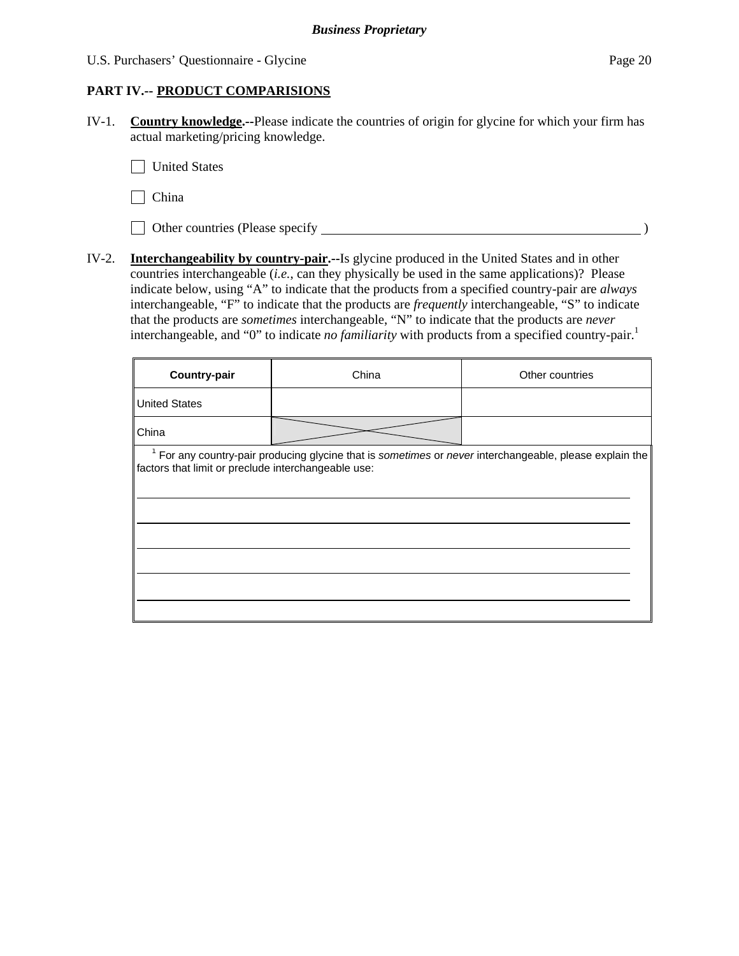### **PART IV.-- PRODUCT COMPARISIONS**

IV-1. **Country knowledge.--**Please indicate the countries of origin for glycine for which your firm has actual marketing/pricing knowledge.

**United States** 

 $\Box$  China

Other countries (Please specify )

IV-2. **Interchangeability by country-pair.--**Is glycine produced in the United States and in other countries interchangeable (*i.e.*, can they physically be used in the same applications)? Please indicate below, using "A" to indicate that the products from a specified country-pair are *always* interchangeable, "F" to indicate that the products are *frequently* interchangeable, "S" to indicate that the products are *sometimes* interchangeable, "N" to indicate that the products are *never* interchangeable, and "0" to indicate *no familiarity* with products from a specified country-pair.<sup>1</sup>

| Country-pair                                        | China                                                                                                              | Other countries |
|-----------------------------------------------------|--------------------------------------------------------------------------------------------------------------------|-----------------|
| <b>United States</b>                                |                                                                                                                    |                 |
| China                                               |                                                                                                                    |                 |
| factors that limit or preclude interchangeable use: | <sup>1</sup> For any country-pair producing glycine that is sometimes or never interchangeable, please explain the |                 |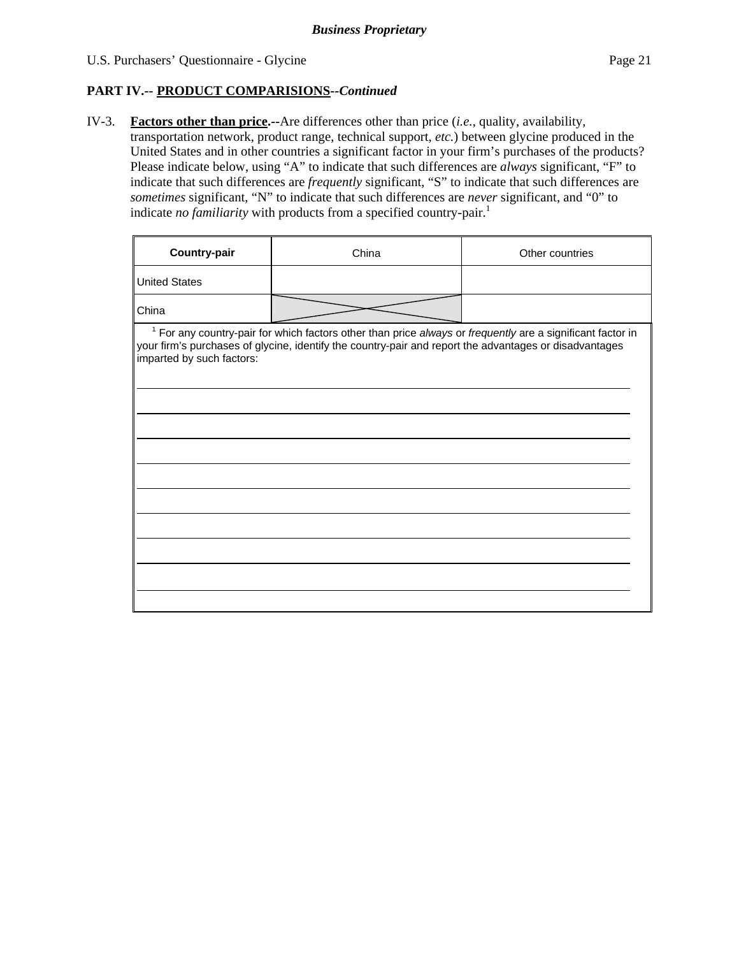## **PART IV.-- PRODUCT COMPARISIONS***--Continued*

IV-3. **Factors other than price.--**Are differences other than price (*i.e.*, quality, availability,

transportation network, product range, technical support, *etc.*) between glycine produced in the United States and in other countries a significant factor in your firm's purchases of the products? Please indicate below, using "A" to indicate that such differences are *always* significant, "F" to indicate that such differences are *frequently* significant, "S" to indicate that such differences are *sometimes* significant, "N" to indicate that such differences are *never* significant, and "0" to indicate *no familiarity* with products from a specified country-pair.<sup>1</sup>

| <b>Country-pair</b>       | China                                                                                                                                                                                                                  | Other countries |
|---------------------------|------------------------------------------------------------------------------------------------------------------------------------------------------------------------------------------------------------------------|-----------------|
| <b>United States</b>      |                                                                                                                                                                                                                        |                 |
| China                     |                                                                                                                                                                                                                        |                 |
| imparted by such factors: | $1$ For any country-pair for which factors other than price always or frequently are a significant factor in<br>your firm's purchases of glycine, identify the country-pair and report the advantages or disadvantages |                 |
|                           |                                                                                                                                                                                                                        |                 |
|                           |                                                                                                                                                                                                                        |                 |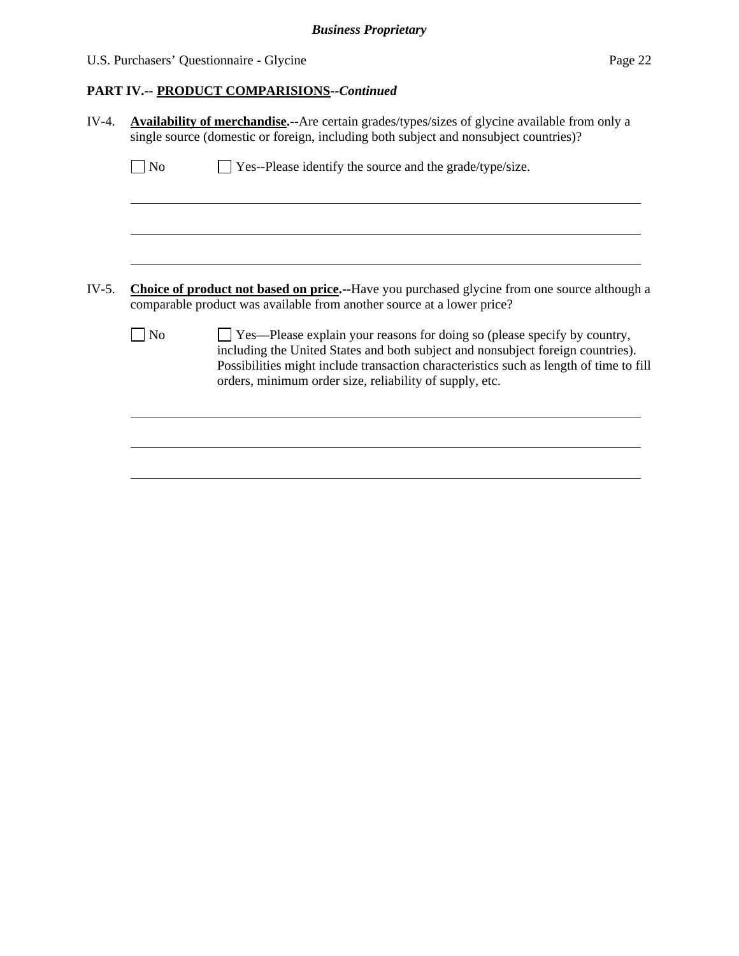# U.S. Purchasers' Questionnaire - Glycine Page 22

# **PART IV.-- PRODUCT COMPARISIONS***--Continued*

| $IV-4.$ | <b>Availability of merchandise.--</b> Are certain grades/types/sizes of glycine available from only a<br>single source (domestic or foreign, including both subject and nonsubject countries)?                                                                                                                                            |  |  |  |  |  |
|---------|-------------------------------------------------------------------------------------------------------------------------------------------------------------------------------------------------------------------------------------------------------------------------------------------------------------------------------------------|--|--|--|--|--|
|         | Yes--Please identify the source and the grade/type/size.<br>N <sub>o</sub>                                                                                                                                                                                                                                                                |  |  |  |  |  |
|         |                                                                                                                                                                                                                                                                                                                                           |  |  |  |  |  |
|         |                                                                                                                                                                                                                                                                                                                                           |  |  |  |  |  |
| IV-5.   | <b>Choice of product not based on price.</b> --Have you purchased glycine from one source although a<br>comparable product was available from another source at a lower price?                                                                                                                                                            |  |  |  |  |  |
|         | $\Box$ Yes—Please explain your reasons for doing so (please specify by country,<br>N <sub>0</sub><br>including the United States and both subject and nonsubject foreign countries).<br>Possibilities might include transaction characteristics such as length of time to fill<br>orders, minimum order size, reliability of supply, etc. |  |  |  |  |  |
|         |                                                                                                                                                                                                                                                                                                                                           |  |  |  |  |  |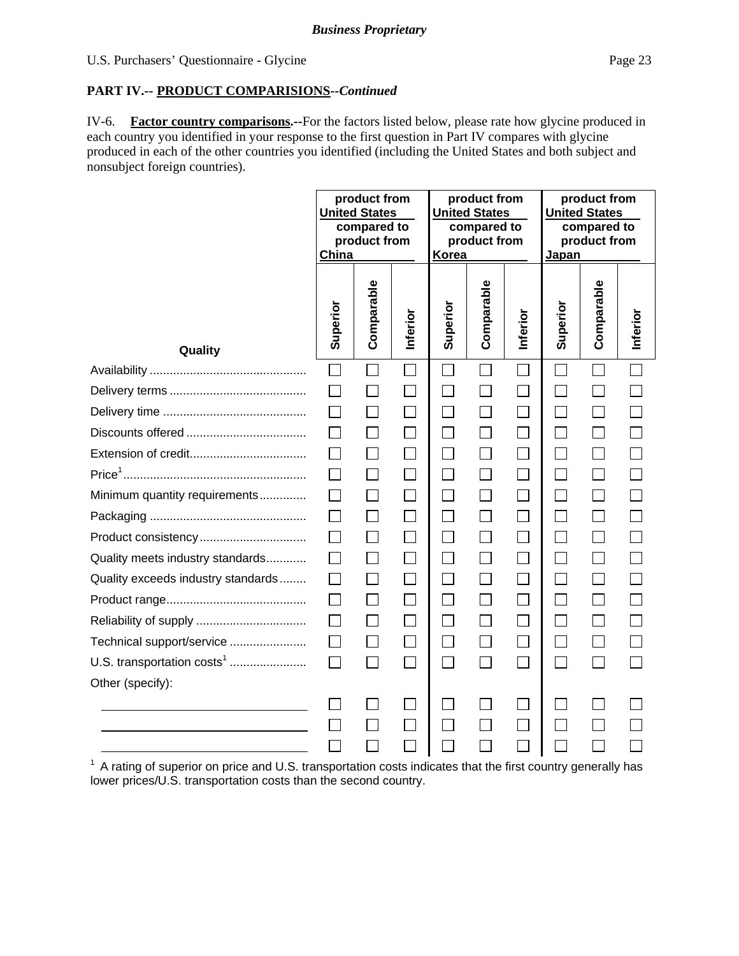#### **PART IV.-- PRODUCT COMPARISIONS***--Continued*

IV-6. **Factor country comparisons.--**For the factors listed below, please rate how glycine produced in each country you identified in your response to the first question in Part IV compares with glycine produced in each of the other countries you identified (including the United States and both subject and nonsubject foreign countries).

|                                        | product from<br>product from<br><b>United States</b><br><b>United States</b><br>compared to<br>compared to<br>product from<br>product from<br>China<br>Korea |              | product from<br><b>United States</b><br>compared to<br>product from<br>Japan |              |            |          |          |            |          |
|----------------------------------------|--------------------------------------------------------------------------------------------------------------------------------------------------------------|--------------|------------------------------------------------------------------------------|--------------|------------|----------|----------|------------|----------|
| Quality                                | Superior                                                                                                                                                     | Comparable   | Inferior                                                                     | Superior     | Comparable | Inferior | Superior | Comparable | Inferior |
|                                        |                                                                                                                                                              |              |                                                                              |              |            |          |          |            |          |
|                                        |                                                                                                                                                              |              | $\Box$                                                                       |              |            |          |          |            |          |
|                                        |                                                                                                                                                              |              | $\mathcal{L}_{\mathcal{A}}$                                                  | $\Box$       |            |          |          |            |          |
|                                        |                                                                                                                                                              | $\Box$       | $\Box$                                                                       | П            |            |          |          |            |          |
|                                        |                                                                                                                                                              | $\Box$       | $\Box$                                                                       | $\Box$       |            | $\Box$   |          | $\Box$     |          |
|                                        | $\perp$                                                                                                                                                      | $\Box$       | П                                                                            | $\Box$       |            | П        |          |            |          |
| Minimum quantity requirements          |                                                                                                                                                              |              |                                                                              | $\mathbf{L}$ |            |          |          |            |          |
|                                        | $\mathsf{L}$                                                                                                                                                 | $\mathsf{L}$ |                                                                              | $\mathsf{L}$ |            |          |          |            |          |
| Product consistency                    |                                                                                                                                                              |              |                                                                              |              |            |          |          |            |          |
| Quality meets industry standards       |                                                                                                                                                              | $\mathsf{L}$ | $\mathsf{L}$                                                                 | $\Box$       |            |          |          |            |          |
| Quality exceeds industry standards     |                                                                                                                                                              |              |                                                                              |              |            |          |          |            |          |
|                                        | $\Box$                                                                                                                                                       | $\Box$       | $\blacksquare$                                                               | $\Box$       |            |          |          |            |          |
|                                        |                                                                                                                                                              | $\Box$       | $\Box$                                                                       | $\Box$       |            |          |          |            |          |
| Technical support/service              | $\Box$                                                                                                                                                       | П            | $\Box$                                                                       | П            |            | П        |          |            |          |
| U.S. transportation costs <sup>1</sup> | $\Box$                                                                                                                                                       | $\Box$       | $\Box$                                                                       | $\Box$       |            |          |          |            |          |
| Other (specify):                       |                                                                                                                                                              |              |                                                                              |              |            |          |          |            |          |
|                                        |                                                                                                                                                              |              |                                                                              |              |            |          |          |            |          |
|                                        |                                                                                                                                                              |              | $\blacksquare$                                                               |              |            |          |          |            |          |
|                                        |                                                                                                                                                              |              |                                                                              |              |            |          |          |            |          |

<sup>1</sup> A rating of superior on price and U.S. transportation costs indicates that the first country generally has lower prices/U.S. transportation costs than the second country.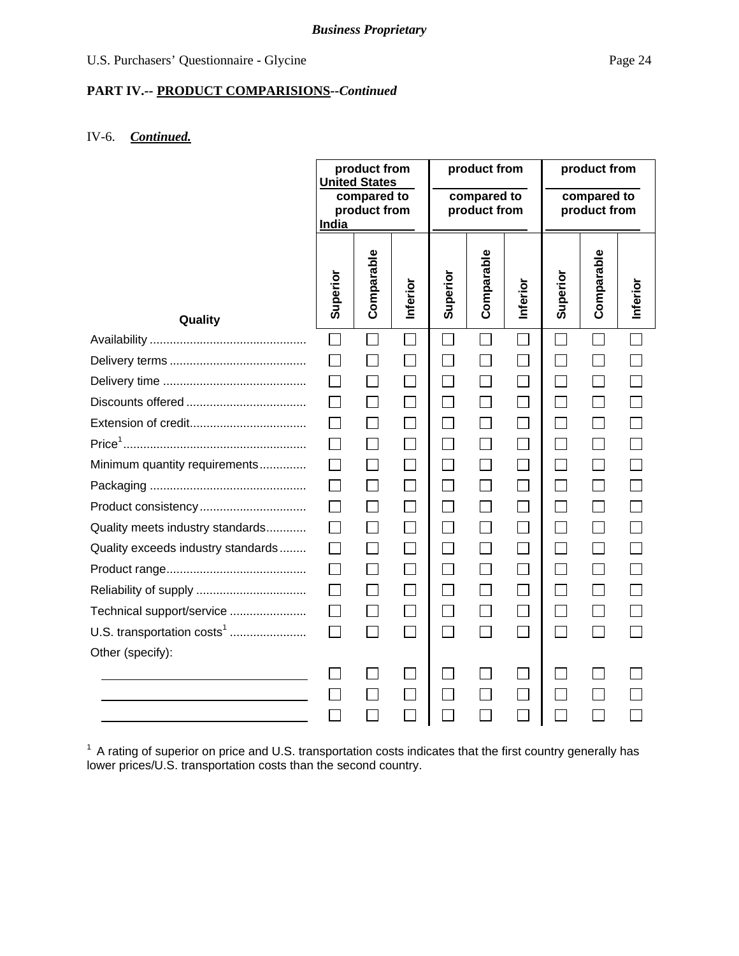# U.S. Purchasers' Questionnaire - Glycine Page 24

# **PART IV.-- PRODUCT COMPARISIONS***--Continued*

#### IV-6. *Continued.*

|                                        | product from<br><b>United States</b><br>compared to<br>product from<br>India |               | product from<br>compared to<br>product from |                   |            | product from<br>compared to<br>product from |          |                             |          |
|----------------------------------------|------------------------------------------------------------------------------|---------------|---------------------------------------------|-------------------|------------|---------------------------------------------|----------|-----------------------------|----------|
| Quality                                | Superior                                                                     | Comparable    | Inferior                                    | Superior          | Comparable | Inferior                                    | Superior | Comparable                  | Inferior |
|                                        |                                                                              |               |                                             |                   |            |                                             |          |                             |          |
|                                        |                                                                              |               |                                             |                   |            |                                             |          |                             |          |
|                                        |                                                                              |               |                                             |                   |            |                                             |          |                             |          |
|                                        |                                                                              |               |                                             |                   |            |                                             |          |                             |          |
|                                        |                                                                              |               |                                             |                   |            |                                             |          |                             |          |
|                                        |                                                                              | $\mathbf{L}$  |                                             |                   |            |                                             |          |                             |          |
| Minimum quantity requirements          |                                                                              |               |                                             |                   |            |                                             |          |                             |          |
|                                        | $\mathsf{L}$                                                                 |               |                                             |                   |            |                                             |          |                             |          |
| Product consistency                    |                                                                              | $\Box$        |                                             |                   |            |                                             |          |                             |          |
| Quality meets industry standards       | $\mathsf{L}$                                                                 | $\Box$        |                                             | $\vert \ \ \vert$ |            | $\vert \ \ \vert$                           |          | $\mathsf{L}$                |          |
| Quality exceeds industry standards     |                                                                              | $\Box$        |                                             |                   |            |                                             |          |                             |          |
|                                        | $\mathsf{L}$                                                                 | $\Box$        |                                             | $\vert \ \ \vert$ |            |                                             |          |                             |          |
|                                        | $\vert \ \ \vert$                                                            | П             |                                             |                   |            |                                             |          | П                           |          |
| Technical support/service              | $\Box$                                                                       | $\mathcal{L}$ |                                             | $\Box$            |            | $\Box$                                      |          | $\mathcal{L}_{\mathcal{A}}$ |          |
| U.S. transportation costs <sup>1</sup> | П                                                                            | $\Box$        |                                             | $\Box$            |            | $\Box$                                      | $\sim$   | $\sim$                      |          |
| Other (specify):                       |                                                                              |               |                                             |                   |            |                                             |          |                             |          |
|                                        |                                                                              |               |                                             |                   |            |                                             |          |                             |          |
|                                        |                                                                              |               |                                             |                   |            |                                             |          |                             |          |
|                                        |                                                                              |               |                                             |                   |            |                                             |          |                             |          |

 $1$  A rating of superior on price and U.S. transportation costs indicates that the first country generally has lower prices/U.S. transportation costs than the second country.